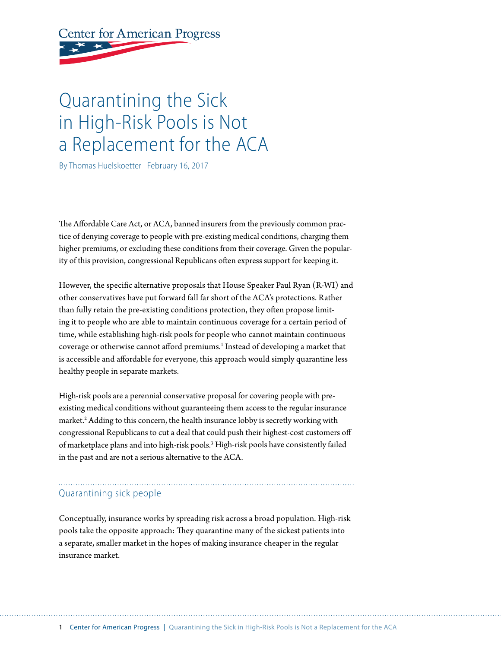# **Center for American Progress**

# Quarantining the Sick in High-Risk Pools is Not a Replacement for the ACA

By Thomas Huelskoetter February 16, 2017

The Affordable Care Act, or ACA, banned insurers from the previously common practice of denying coverage to people with pre-existing medical conditions, charging them higher premiums, or excluding these conditions from their coverage. Given the popularity of this provision, congressional Republicans often express support for keeping it.

However, the specific alternative proposals that House Speaker Paul Ryan (R-WI) and other conservatives have put forward fall far short of the ACA's protections. Rather than fully retain the pre-existing conditions protection, they often propose limiting it to people who are able to maintain continuous coverage for a certain period of time, while establishing high-risk pools for people who cannot maintain continuous coverage or otherwise cannot afford premiums.<sup>1</sup> Instead of developing a market that is accessible and affordable for everyone, this approach would simply quarantine less healthy people in separate markets.

High-risk pools are a perennial conservative proposal for covering people with preexisting medical conditions without guaranteeing them access to the regular insurance market.<sup>2</sup> Adding to this concern, the health insurance lobby is secretly working with congressional Republicans to cut a deal that could push their highest-cost customers off of marketplace plans and into high-risk pools.<sup>3</sup> High-risk pools have consistently failed in the past and are not a serious alternative to the ACA.

## Quarantining sick people

Conceptually, insurance works by spreading risk across a broad population. High-risk pools take the opposite approach: They quarantine many of the sickest patients into a separate, smaller market in the hopes of making insurance cheaper in the regular insurance market.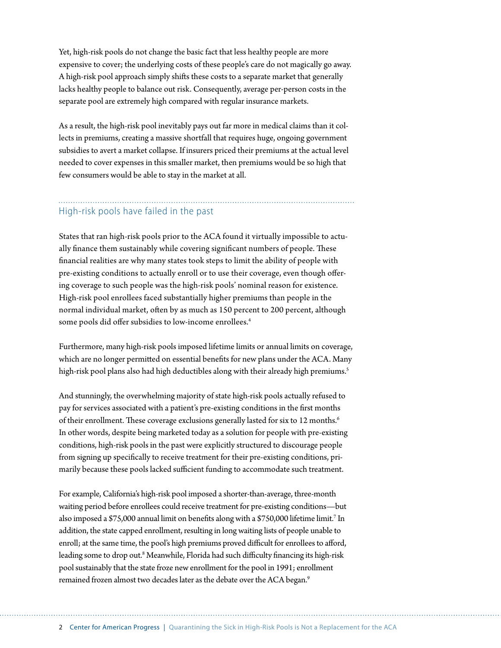Yet, high-risk pools do not change the basic fact that less healthy people are more expensive to cover; the underlying costs of these people's care do not magically go away. A high-risk pool approach simply shifts these costs to a separate market that generally lacks healthy people to balance out risk. Consequently, average per-person costs in the separate pool are extremely high compared with regular insurance markets.

As a result, the high-risk pool inevitably pays out far more in medical claims than it collects in premiums, creating a massive shortfall that requires huge, ongoing government subsidies to avert a market collapse. If insurers priced their premiums at the actual level needed to cover expenses in this smaller market, then premiums would be so high that few consumers would be able to stay in the market at all.

# High-risk pools have failed in the past

States that ran high-risk pools prior to the ACA found it virtually impossible to actually finance them sustainably while covering significant numbers of people. These financial realities are why many states took steps to limit the ability of people with pre-existing conditions to actually enroll or to use their coverage, even though offering coverage to such people was the high-risk pools' nominal reason for existence. High-risk pool enrollees faced substantially higher premiums than people in the normal individual market, often by as much as 150 percent to 200 percent, although some pools did offer subsidies to low-income enrollees.<sup>4</sup>

Furthermore, many high-risk pools imposed lifetime limits or annual limits on coverage, which are no longer permitted on essential benefits for new plans under the ACA. Many high-risk pool plans also had high deductibles along with their already high premiums.<sup>5</sup>

And stunningly, the overwhelming majority of state high-risk pools actually refused to pay for services associated with a patient's pre-existing conditions in the first months of their enrollment. These coverage exclusions generally lasted for six to 12 months.<sup>6</sup> In other words, despite being marketed today as a solution for people with pre-existing conditions, high-risk pools in the past were explicitly structured to discourage people from signing up specifically to receive treatment for their pre-existing conditions, primarily because these pools lacked sufficient funding to accommodate such treatment.

For example, California's high-risk pool imposed a shorter-than-average, three-month waiting period before enrollees could receive treatment for pre-existing conditions—but also imposed a \$75,000 annual limit on benefits along with a \$750,000 lifetime limit.7 In addition, the state capped enrollment, resulting in long waiting lists of people unable to enroll; at the same time, the pool's high premiums proved difficult for enrollees to afford, leading some to drop out.<sup>8</sup> Meanwhile, Florida had such difficulty financing its high-risk pool sustainably that the state froze new enrollment for the pool in 1991; enrollment remained frozen almost two decades later as the debate over the ACA began.<sup>9</sup>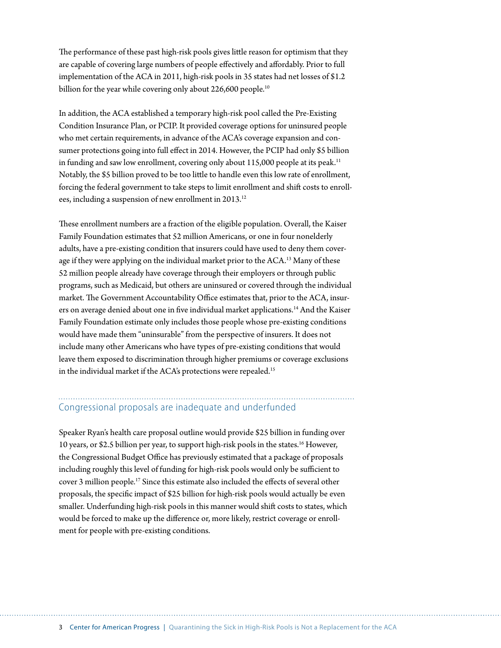The performance of these past high-risk pools gives little reason for optimism that they are capable of covering large numbers of people effectively and affordably. Prior to full implementation of the ACA in 2011, high-risk pools in 35 states had net losses of \$1.2 billion for the year while covering only about  $226,600$  people.<sup>10</sup>

In addition, the ACA established a temporary high-risk pool called the Pre-Existing Condition Insurance Plan, or PCIP. It provided coverage options for uninsured people who met certain requirements, in advance of the ACA's coverage expansion and consumer protections going into full effect in 2014. However, the PCIP had only \$5 billion in funding and saw low enrollment, covering only about  $115,000$  people at its peak.<sup>11</sup> Notably, the \$5 billion proved to be too little to handle even this low rate of enrollment, forcing the federal government to take steps to limit enrollment and shift costs to enrollees, including a suspension of new enrollment in 2013.12

These enrollment numbers are a fraction of the eligible population. Overall, the Kaiser Family Foundation estimates that 52 million Americans, or one in four nonelderly adults, have a pre-existing condition that insurers could have used to deny them coverage if they were applying on the individual market prior to the ACA.<sup>13</sup> Many of these 52 million people already have coverage through their employers or through public programs, such as Medicaid, but others are uninsured or covered through the individual market. The Government Accountability Office estimates that, prior to the ACA, insurers on average denied about one in five individual market applications.<sup>14</sup> And the Kaiser Family Foundation estimate only includes those people whose pre-existing conditions would have made them "uninsurable" from the perspective of insurers. It does not include many other Americans who have types of pre-existing conditions that would leave them exposed to discrimination through higher premiums or coverage exclusions in the individual market if the ACA's protections were repealed.<sup>15</sup>

## Congressional proposals are inadequate and underfunded

Speaker Ryan's health care proposal outline would provide \$25 billion in funding over 10 years, or \$2.5 billion per year, to support high-risk pools in the states.16 However, the Congressional Budget Office has previously estimated that a package of proposals including roughly this level of funding for high-risk pools would only be sufficient to cover 3 million people.17 Since this estimate also included the effects of several other proposals, the specific impact of \$25 billion for high-risk pools would actually be even smaller. Underfunding high-risk pools in this manner would shift costs to states, which would be forced to make up the difference or, more likely, restrict coverage or enrollment for people with pre-existing conditions.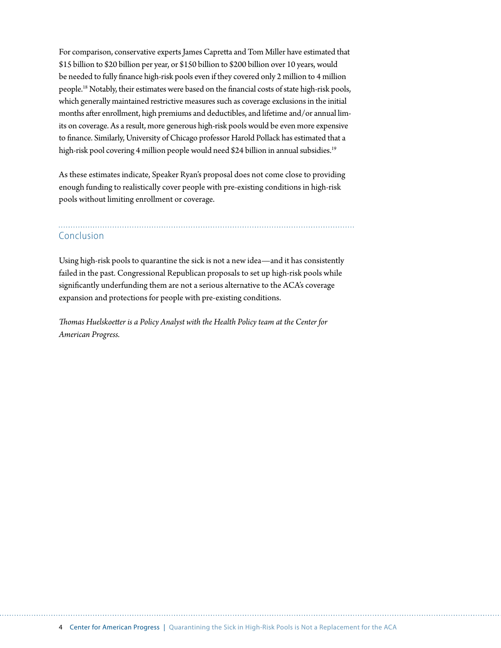For comparison, conservative experts James Capretta and Tom Miller have estimated that \$15 billion to \$20 billion per year, or \$150 billion to \$200 billion over 10 years, would be needed to fully finance high-risk pools even if they covered only 2 million to 4 million people.18 Notably, their estimates were based on the financial costs of state high-risk pools, which generally maintained restrictive measures such as coverage exclusions in the initial months after enrollment, high premiums and deductibles, and lifetime and/or annual limits on coverage. As a result, more generous high-risk pools would be even more expensive to finance. Similarly, University of Chicago professor Harold Pollack has estimated that a high-risk pool covering 4 million people would need \$24 billion in annual subsidies.<sup>19</sup>

As these estimates indicate, Speaker Ryan's proposal does not come close to providing enough funding to realistically cover people with pre-existing conditions in high-risk pools without limiting enrollment or coverage.

#### Conclusion

Using high-risk pools to quarantine the sick is not a new idea—and it has consistently failed in the past. Congressional Republican proposals to set up high-risk pools while significantly underfunding them are not a serious alternative to the ACA's coverage expansion and protections for people with pre-existing conditions.

*Thomas Huelskoetter is a Policy Analyst with the Health Policy team at the Center for American Progress.*